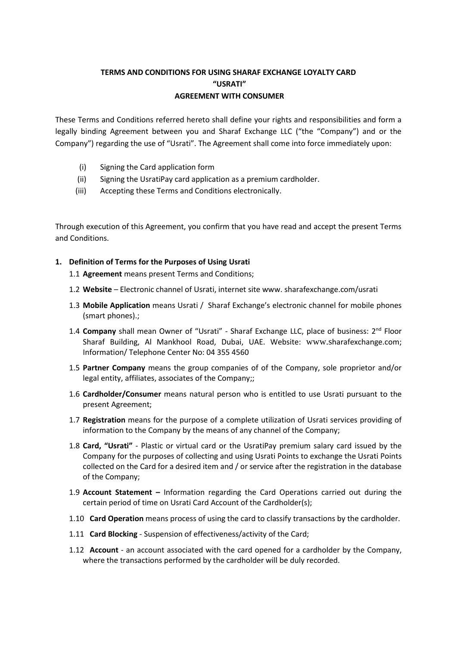# **TERMS AND CONDITIONS FOR USING SHARAF EXCHANGE LOYALTY CARD "USRATI" AGREEMENT WITH CONSUMER**

These Terms and Conditions referred hereto shall define your rights and responsibilities and form a legally binding Agreement between you and Sharaf Exchange LLC ("the "Company") and or the Company") regarding the use of "Usrati". The Agreement shall come into force immediately upon:

- (i) Signing the Card application form
- (ii) Signing the UsratiPay card application as a premium cardholder.
- (iii) Accepting these Terms and Conditions electronically.

Through execution of this Agreement, you confirm that you have read and accept the present Terms and Conditions.

# **1. Definition of Terms for the Purposes of Using Usrati**

- 1.1 **Agreement** means present Terms and Conditions;
- 1.2 **Website**  [Electronic channel of Usrati, internet site w](https://www.unicard.ge/)ww. sharafexchange.com/usrati
- 1.3 **Mobile Application** means Usrati / Sharaf Exchange's electronic channel for mobile phones (smart phones).;
- 1.4 Company shall mean Owner of "Usrati" Sharaf Exchange LLC, place of business: 2<sup>nd</sup> Floor Sharaf Building, Al Mankhool Road, Dubai, UAE. Website: www.sharafexchange.com; Information/ Telephone Center No: 04 355 4560
- 1.5 **Partner Company** means the group companies of of the Company, sole proprietor and/or legal entity, affiliates, associates of the Company;;
- 1.6 **Cardholder/Consumer** means natural person who is entitled to use Usrati pursuant to the present Agreement;
- 1.7 **Registration** means for the purpose of a complete utilization of Usrati services providing of information to the Company by the means of any channel of the Company;
- 1.8 **Card, "Usrati"**  Plastic or virtual card or the UsratiPay premium salary card issued by the Company for the purposes of collecting and using Usrati Points to exchange the Usrati Points collected on the Card for a desired item and / or service after the registration in the database of the Company;
- 1.9 **Account Statement –** Information regarding the Card Operations carried out during the certain period of time on Usrati Card Account of the Cardholder(s);
- 1.10 **Card Operation** means process of using the card to classify transactions by the cardholder.
- 1.11 **Card Blocking**  Suspension of effectiveness/activity of the Card;
- 1.12 **Account**  an account associated with the card opened for a cardholder by the Company, where the transactions performed by the cardholder will be duly recorded.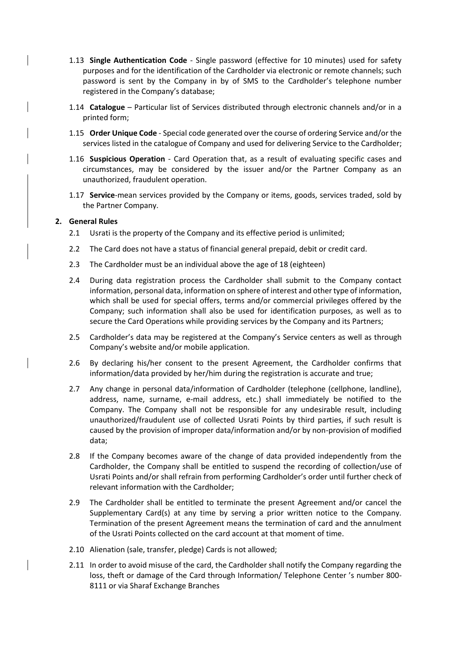- 1.13 **Single Authentication Code**  Single password (effective for 10 minutes) used for safety purposes and for the identification of the Cardholder via electronic or remote channels; such password is sent by the Company in by of SMS to the Cardholder's telephone number registered in the Company's database;
- 1.14 **Catalogue**  Particular list of Services distributed through electronic channels and/or in a printed form;
- 1.15 **Order Unique Code**  Special code generated over the course of ordering Service and/or the services listed in the catalogue of Company and used for delivering Service to the Cardholder;
- 1.16 **Suspicious Operation**  Card Operation that, as a result of evaluating specific cases and circumstances, may be considered by the issuer and/or the Partner Company as an unauthorized, fraudulent operation.
- 1.17 **Service**-mean services provided by the Company or items, goods, services traded, sold by the Partner Company.

#### **2. General Rules**

- 2.1 Usrati is the property of the Company and its effective period is unlimited;
- 2.2 The Card does not have a status of financial general prepaid, debit or credit card.
- 2.3 The Cardholder must be an individual above the age of 18 (eighteen)
- 2.4 During data registration process the Cardholder shall submit to the Company contact information, personal data, information on sphere of interest and other type of information, which shall be used for special offers, terms and/or commercial privileges offered by the Company; such information shall also be used for identification purposes, as well as to secure the Card Operations while providing services by the Company and its Partners;
- 2.5 Cardholder's data may be registered at the Company's Service centers as well as through Company's website and/or mobile application.
- 2.6 By declaring his/her consent to the present Agreement, the Cardholder confirms that information/data provided by her/him during the registration is accurate and true;
- 2.7 Any change in personal data/information of Cardholder (telephone (cellphone, landline), address, name, surname, e-mail address, etc.) shall immediately be notified to the Company. The Company shall not be responsible for any undesirable result, including unauthorized/fraudulent use of collected Usrati Points by third parties, if such result is caused by the provision of improper data/information and/or by non-provision of modified data;
- 2.8 If the Company becomes aware of the change of data provided independently from the Cardholder, the Company shall be entitled to suspend the recording of collection/use of Usrati Points and/or shall refrain from performing Cardholder's order until further check of relevant information with the Cardholder;
- 2.9 The Cardholder shall be entitled to terminate the present Agreement and/or cancel the Supplementary Card(s) at any time by serving a prior written notice to the Company. Termination of the present Agreement means the termination of card and the annulment of the Usrati Points collected on the card account at that moment of time.
- 2.10 Alienation (sale, transfer, pledge) Cards is not allowed;
- 2.11 In order to avoid misuse of the card, the Cardholder shall notify the Company regarding the loss, theft or damage of the Card through Information/ Telephone Center 's number 800- 8111 or via Sharaf Exchange Branches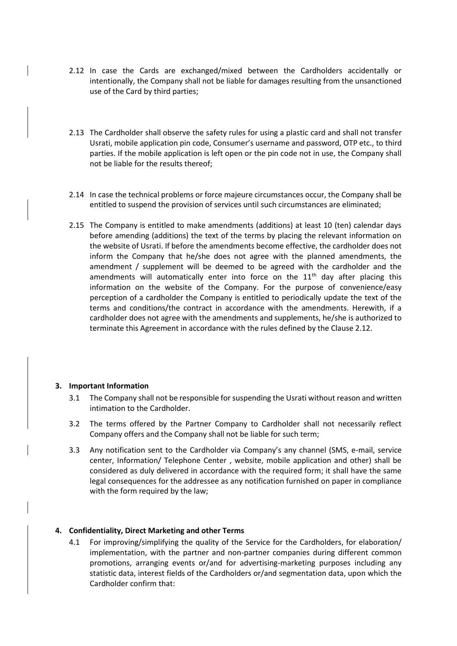- 2.12 In case the Cards are exchanged/mixed between the Cardholders accidentally or intentionally, the Company shall not be liable for damages resulting from the unsanctioned use of the Card by third parties;
- 2.13 The Cardholder shall observe the safety rules for using a plastic card and shall not transfer Usrati, mobile application pin code, Consumer's username and password, OTP etc., to third parties. If the mobile application is left open or the pin code not in use, the Company shall not be liable for the results thereof;
- 2.14 In case the technical problems or force majeure circumstances occur, the Company shall be entitled to suspend the provision of services until such circumstances are eliminated;
- 2.15 The Company is entitled to make amendments (additions) at least 10 (ten) calendar days before amending (additions) the text of the terms by placing the relevant information on the website of Usrati. If before the amendments become effective, the cardholder does not inform the Company that he/she does not agree with the planned amendments, the amendment / supplement will be deemed to be agreed with the cardholder and the amendments will automatically enter into force on the  $11<sup>th</sup>$  day after placing this information on the website of the Company. For the purpose of convenience/easy perception of a cardholder the Company is entitled to periodically update the text of the terms and conditions/the contract in accordance with the amendments. Herewith, if a cardholder does not agree with the amendments and supplements, he/she is authorized to terminate this Agreement in accordance with the rules defined by the Clause 2.12.

#### **3. Important Information**

- 3.1 The Company shall not be responsible for suspending the Usrati without reason and written intimation to the Cardholder.
- 3.2 The terms offered by the Partner Company to Cardholder shall not necessarily reflect Company offers and the Company shall not be liable for such term;
- 3.3 Any notification sent to the Cardholder via Company's any channel (SMS, e-mail, service center, Information/ Telephone Center , website, mobile application and other) shall be considered as duly delivered in accordance with the required form; it shall have the same legal consequences for the addressee as any notification furnished on paper in compliance with the form required by the law;

#### **4. Confidentiality, Direct Marketing and other Terms**

4.1 For improving/simplifying the quality of the Service for the Cardholders, for elaboration/ implementation, with the partner and non-partner companies during different common promotions, arranging events or/and for advertising-marketing purposes including any statistic data, interest fields of the Cardholders or/and segmentation data, upon which the Cardholder confirm that: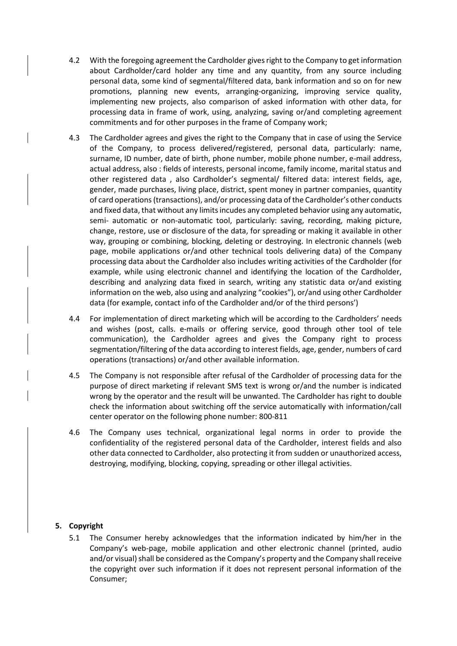- 4.2 With the foregoing agreement the Cardholder gives right to the Company to get information about Cardholder/card holder any time and any quantity, from any source including personal data, some kind of segmental/filtered data, bank information and so on for new promotions, planning new events, arranging-organizing, improving service quality, implementing new projects, also comparison of asked information with other data, for processing data in frame of work, using, analyzing, saving or/and completing agreement commitments and for other purposes in the frame of Company work;
- 4.3 The Cardholder agrees and gives the right to the Company that in case of using the Service of the Company, to process delivered/registered, personal data, particularly: name, surname, ID number, date of birth, phone number, mobile phone number, e-mail address, actual address, also : fields of interests, personal income, family income, marital status and other registered data , also Cardholder's segmental/ filtered data: interest fields, age, gender, made purchases, living place, district, spent money in partner companies, quantity of card operations (transactions), and/or processing data of the Cardholder's other conducts and fixed data, that without any limits incudes any completed behavior using any automatic, semi- automatic or non-automatic tool, particularly: saving, recording, making picture, change, restore, use or disclosure of the data, for spreading or making it available in other way, grouping or combining, blocking, deleting or destroying. In electronic channels (web page, mobile applications or/and other technical tools delivering data) of the Company processing data about the Cardholder also includes writing activities of the Cardholder (for example, while using electronic channel and identifying the location of the Cardholder, describing and analyzing data fixed in search, writing any statistic data or/and existing information on the web, also using and analyzing "cookies"), or/and using other Cardholder data (for example, contact info of the Cardholder and/or of the third persons')
- 4.4 For implementation of direct marketing which will be according to the Cardholders' needs and wishes (post, calls. e-mails or offering service, good through other tool of tele communication), the Cardholder agrees and gives the Company right to process segmentation/filtering of the data according to interest fields, age, gender, numbers of card operations (transactions) or/and other available information.
- 4.5 The Company is not responsible after refusal of the Cardholder of processing data for the purpose of direct marketing if relevant SMS text is wrong or/and the number is indicated wrong by the operator and the result will be unwanted. The Cardholder has right to double check the information about switching off the service automatically with information/call center operator on the following phone number: 800-811
- 4.6 The Company uses technical, organizational legal norms in order to provide the confidentiality of the registered personal data of the Cardholder, interest fields and also other data connected to Cardholder, also protecting it from sudden or unauthorized access, destroying, modifying, blocking, copying, spreading or other illegal activities.

#### **5. Copyright**

5.1 The Consumer hereby acknowledges that the information indicated by him/her in the Company's web-page, mobile application and other electronic channel (printed, audio and/or visual) shall be considered as the Company's property and the Company shall receive the copyright over such information if it does not represent personal information of the Consumer;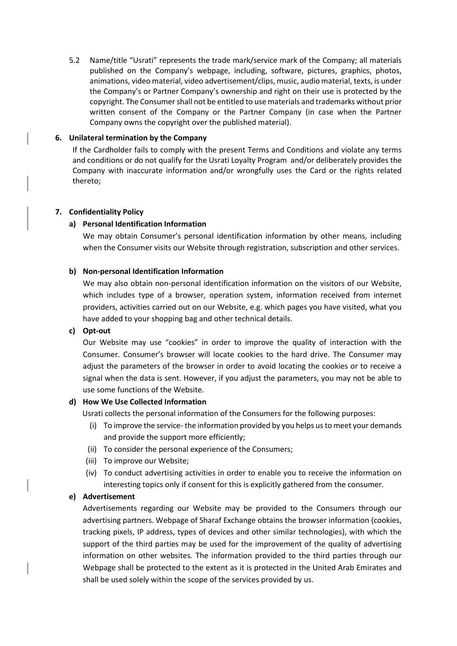5.2 Name/title "Usrati" represents the trade mark/service mark of the Company; all materials published on the Company's webpage, including, software, pictures, graphics, photos, animations, video material, video advertisement/clips, music, audio material, texts, is under the Company's or Partner Company's ownership and right on their use is protected by the copyright. The Consumer shall not be entitled to use materials and trademarks without prior written consent of the Company or the Partner Company (in case when the Partner Company owns the copyright over the published material).

## **6. Unilateral termination by the Company**

If the Cardholder fails to comply with the present Terms and Conditions and violate any terms and conditions or do not qualify for the Usrati Loyalty Program and/or deliberately provides the Company with inaccurate information and/or wrongfully uses the Card or the rights related thereto;

## **7. Confidentiality Policy**

## **a) Personal Identification Information**

We may obtain Consumer's personal identification information by other means, including when the Consumer visits our Website through registration, subscription and other services.

## **b) Non-personal Identification Information**

We may also obtain non-personal identification information on the visitors of our Website, which includes type of a browser, operation system, information received from internet providers, activities carried out on our Website, e.g. which pages you have visited, what you have added to your shopping bag and other technical details.

#### **c) Opt-out**

Our Website may use "cookies" in order to improve the quality of interaction with the Consumer. Consumer's browser will locate cookies to the hard drive. The Consumer may adjust the parameters of the browser in order to avoid locating the cookies or to receive a signal when the data is sent. However, if you adjust the parameters, you may not be able to use some functions of the Website.

# **d) How We Use Collected Information**

Usrati collects the personal information of the Consumers for the following purposes:

- (i) To improve the service- the information provided by you helps us to meet your demands and provide the support more efficiently;
- (ii) To consider the personal experience of the Consumers;
- (iii) To improve our Website;
- (iv) To conduct advertising activities in order to enable you to receive the information on interesting topics only if consent for this is explicitly gathered from the consumer.

# **e) Advertisement**

[Advertisements regarding our Website may be provided to the Consumers through our](http://networkadvertising.org/choices/#_blank)  [advertising partners. Webpage of Sharaf Exchange obtains the](http://networkadvertising.org/choices/#_blank) browser information (cookies, [tracking pixels, IP address, types of devices and other similar technologies\), with which the](http://networkadvertising.org/choices/#_blank)  [support of the third parties may be used for the improvement of the quality of advertising](http://networkadvertising.org/choices/#_blank)  [information on other websites. T](http://networkadvertising.org/choices/#_blank)he information provided to the third parties through our Webpage shall be protected to the extent as it is protected in the United Arab Emirates and shall be used solely within the scope of the services provided by us.